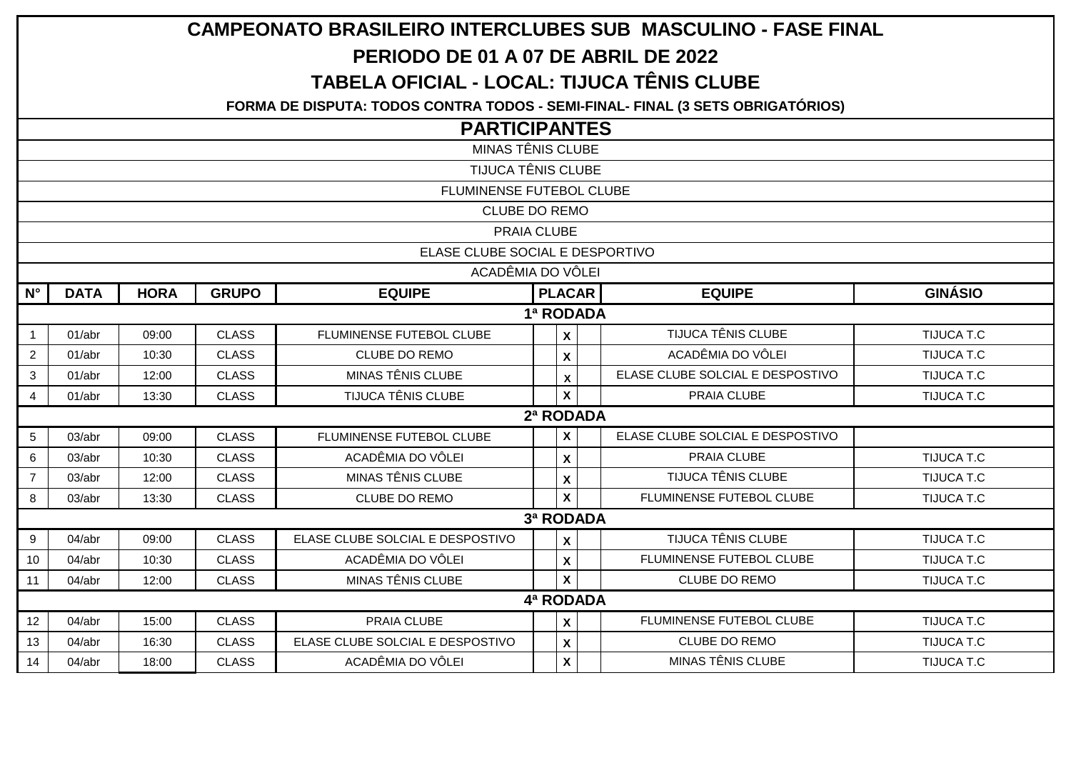| <b>CAMPEONATO BRASILEIRO INTERCLUBES SUB MASCULINO - FASE FINAL</b> |                                                                                |             |              |                                  |  |                                                  |                                  |                   |  |  |  |  |  |  |  |
|---------------------------------------------------------------------|--------------------------------------------------------------------------------|-------------|--------------|----------------------------------|--|--------------------------------------------------|----------------------------------|-------------------|--|--|--|--|--|--|--|
| PERIODO DE 01 A 07 DE ABRIL DE 2022                                 |                                                                                |             |              |                                  |  |                                                  |                                  |                   |  |  |  |  |  |  |  |
|                                                                     | <b>TABELA OFICIAL - LOCAL: TIJUCA TÊNIS CLUBE</b>                              |             |              |                                  |  |                                                  |                                  |                   |  |  |  |  |  |  |  |
|                                                                     | FORMA DE DISPUTA: TODOS CONTRA TODOS - SEMI-FINAL- FINAL (3 SETS OBRIGATÓRIOS) |             |              |                                  |  |                                                  |                                  |                   |  |  |  |  |  |  |  |
|                                                                     | <b>PARTICIPANTES</b>                                                           |             |              |                                  |  |                                                  |                                  |                   |  |  |  |  |  |  |  |
| <b>MINAS TÊNIS CLUBE</b>                                            |                                                                                |             |              |                                  |  |                                                  |                                  |                   |  |  |  |  |  |  |  |
| <b>TIJUCA TÊNIS CLUBE</b>                                           |                                                                                |             |              |                                  |  |                                                  |                                  |                   |  |  |  |  |  |  |  |
| FLUMINENSE FUTEBOL CLUBE                                            |                                                                                |             |              |                                  |  |                                                  |                                  |                   |  |  |  |  |  |  |  |
| <b>CLUBE DO REMO</b>                                                |                                                                                |             |              |                                  |  |                                                  |                                  |                   |  |  |  |  |  |  |  |
| PRAIA CLUBE                                                         |                                                                                |             |              |                                  |  |                                                  |                                  |                   |  |  |  |  |  |  |  |
| ELASE CLUBE SOCIAL E DESPORTIVO                                     |                                                                                |             |              |                                  |  |                                                  |                                  |                   |  |  |  |  |  |  |  |
|                                                                     | ACADÊMIA DO VÔLEI                                                              |             |              |                                  |  |                                                  |                                  |                   |  |  |  |  |  |  |  |
| $N^{\circ}$                                                         | <b>DATA</b>                                                                    | <b>HORA</b> | <b>GRUPO</b> | <b>EQUIPE</b>                    |  | <b>PLACAR</b><br><b>GINÁSIO</b><br><b>EQUIPE</b> |                                  |                   |  |  |  |  |  |  |  |
|                                                                     | 1ª RODADA                                                                      |             |              |                                  |  |                                                  |                                  |                   |  |  |  |  |  |  |  |
| $\overline{1}$                                                      | 01/abr                                                                         | 09:00       | <b>CLASS</b> | FLUMINENSE FUTEBOL CLUBE         |  | $\boldsymbol{\mathsf{X}}$                        | <b>TIJUCA TÊNIS CLUBE</b>        | <b>TIJUCA T.C</b> |  |  |  |  |  |  |  |
| $\overline{2}$                                                      | 01/abr                                                                         | 10:30       | <b>CLASS</b> | <b>CLUBE DO REMO</b>             |  | $\boldsymbol{\mathsf{x}}$                        | ACADÊMIA DO VÔLEI                | TIJUCA T.C        |  |  |  |  |  |  |  |
| $\mathbf{3}$                                                        | 01/abr                                                                         | 12:00       | <b>CLASS</b> | MINAS TÊNIS CLUBE                |  | $\boldsymbol{\mathsf{x}}$                        | ELASE CLUBE SOLCIAL E DESPOSTIVO | TIJUCA T.C        |  |  |  |  |  |  |  |
| $\overline{4}$                                                      | 01/abr                                                                         | 13:30       | <b>CLASS</b> | TIJUCA TÊNIS CLUBE               |  | $\boldsymbol{\mathsf{X}}$                        | PRAIA CLUBE                      | TIJUCA T.C        |  |  |  |  |  |  |  |
|                                                                     |                                                                                |             |              |                                  |  | 2ª RODADA                                        |                                  |                   |  |  |  |  |  |  |  |
| $5\phantom{.0}$                                                     | 03/abr                                                                         | 09:00       | <b>CLASS</b> | FLUMINENSE FUTEBOL CLUBE         |  | $\boldsymbol{\mathsf{x}}$                        | ELASE CLUBE SOLCIAL E DESPOSTIVO |                   |  |  |  |  |  |  |  |
| 6                                                                   | 03/abr                                                                         | 10:30       | <b>CLASS</b> | ACADÊMIA DO VÔLEI                |  | $\mathbf x$                                      | PRAIA CLUBE                      | <b>TIJUCA T.C</b> |  |  |  |  |  |  |  |
| $\overline{7}$                                                      | 03/abr                                                                         | 12:00       | <b>CLASS</b> | <b>MINAS TÊNIS CLUBE</b>         |  | $\boldsymbol{\mathsf{X}}$                        | <b>TIJUCA TÊNIS CLUBE</b>        | TIJUCA T.C        |  |  |  |  |  |  |  |
| 8                                                                   | 03/abr                                                                         | 13:30       | <b>CLASS</b> | <b>CLUBE DO REMO</b>             |  | $\boldsymbol{\mathsf{x}}$                        | FLUMINENSE FUTEBOL CLUBE         | <b>TIJUCA T.C</b> |  |  |  |  |  |  |  |
|                                                                     |                                                                                |             |              |                                  |  | 3ª RODADA                                        |                                  |                   |  |  |  |  |  |  |  |
| 9                                                                   | 04/abr                                                                         | 09:00       | <b>CLASS</b> | ELASE CLUBE SOLCIAL E DESPOSTIVO |  | $\boldsymbol{\mathsf{x}}$                        | <b>TIJUCA TÊNIS CLUBE</b>        | TIJUCA T.C        |  |  |  |  |  |  |  |
| 10                                                                  | 04/abr                                                                         | 10:30       | <b>CLASS</b> | ACADÊMIA DO VÔLEI                |  | $\pmb{\chi}$                                     | FLUMINENSE FUTEBOL CLUBE         | TIJUCA T.C        |  |  |  |  |  |  |  |
| 11                                                                  | 04/abr                                                                         | 12:00       | <b>CLASS</b> | <b>MINAS TÊNIS CLUBE</b>         |  | $\mathbf{x}$                                     | <b>CLUBE DO REMO</b>             | TIJUCA T.C        |  |  |  |  |  |  |  |
|                                                                     | 4ª RODADA                                                                      |             |              |                                  |  |                                                  |                                  |                   |  |  |  |  |  |  |  |
| 12 <sup>2</sup>                                                     | 04/abr                                                                         | 15:00       | <b>CLASS</b> | PRAIA CLUBE                      |  | $\mathbf x$                                      | FLUMINENSE FUTEBOL CLUBE         | <b>TIJUCA T.C</b> |  |  |  |  |  |  |  |
| 13                                                                  | 04/abr                                                                         | 16:30       | <b>CLASS</b> | ELASE CLUBE SOLCIAL E DESPOSTIVO |  | $\boldsymbol{\mathsf{X}}$                        | <b>CLUBE DO REMO</b>             | <b>TIJUCA T.C</b> |  |  |  |  |  |  |  |
| 14                                                                  | 04/abr                                                                         | 18:00       | <b>CLASS</b> | ACADÊMIA DO VÔLEI                |  | $\mathsf{x}$                                     | <b>MINAS TÊNIS CLUBE</b>         | TIJUCA T.C        |  |  |  |  |  |  |  |